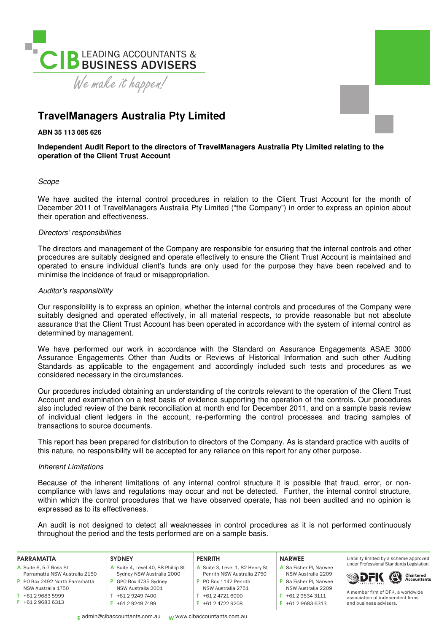

# **TravelManagers Australia Pty Limited**

**ABN 35 113 085 626** 

## **Independent Audit Report to the directors of TravelManagers Australia Pty Limited relating to the operation of the Client Trust Account**

## Scope

We have audited the internal control procedures in relation to the Client Trust Account for the month of December 2011 of TravelManagers Australia Pty Limited ("the Company") in order to express an opinion about their operation and effectiveness.

## Directors' responsibilities

The directors and management of the Company are responsible for ensuring that the internal controls and other procedures are suitably designed and operate effectively to ensure the Client Trust Account is maintained and operated to ensure individual client's funds are only used for the purpose they have been received and to minimise the incidence of fraud or misappropriation.

## Auditor's responsibility

Our responsibility is to express an opinion, whether the internal controls and procedures of the Company were suitably designed and operated effectively, in all material respects, to provide reasonable but not absolute assurance that the Client Trust Account has been operated in accordance with the system of internal control as determined by management.

We have performed our work in accordance with the Standard on Assurance Engagements ASAE 3000 Assurance Engagements Other than Audits or Reviews of Historical Information and such other Auditing Standards as applicable to the engagement and accordingly included such tests and procedures as we considered necessary in the circumstances.

Our procedures included obtaining an understanding of the controls relevant to the operation of the Client Trust Account and examination on a test basis of evidence supporting the operation of the controls. Our procedures also included review of the bank reconciliation at month end for December 2011, and on a sample basis review of individual client ledgers in the account, re-performing the control processes and tracing samples of transactions to source documents.

This report has been prepared for distribution to directors of the Company. As is standard practice with audits of this nature, no responsibility will be accepted for any reliance on this report for any other purpose.

## Inherent Limitations

Because of the inherent limitations of any internal control structure it is possible that fraud, error, or noncompliance with laws and regulations may occur and not be detected. Further, the internal control structure, within which the control procedures that we have observed operate, has not been audited and no opinion is expressed as to its effectiveness.

An audit is not designed to detect all weaknesses in control procedures as it is not performed continuously throughout the period and the tests performed are on a sample basis.

#### PARRAMATTA

- A Suite 6, 5-7 Ross St Parramatta NSW Australia 2150
- P PO Box 2492 North Parramatta
- NSW Australia 1750 T +61 2 9683 5999
- F +61 2 9683 6313
- **SYDNEY** A Suite 4, Level 40, 88 Phillip St Sydney NSW Australia 2000 P GPO Box 4735 Sydney NSW Australia 2001

T +61 2 9249 7400 F +61 2 9249 7499

#### PENRITH

- A Suite 3, Level 1, 82 Henry St Penrith NSW Australia 2750 P PO Box 1142 Penrith
- NSW Australia 2751
- T +61 2 4721 6000
	- F +61 2 4722 9208

#### NARWEE

- A 8a Fisher Pl, Narwee NSW Australia 2209 P 8a Fisher Pl, Narwee NSW Australia 2209
- $T + 61 2 9534 3111$
- F +61 2 9683 6313





A member irm of DFK, a worldwide association of independent firms and business advisers.